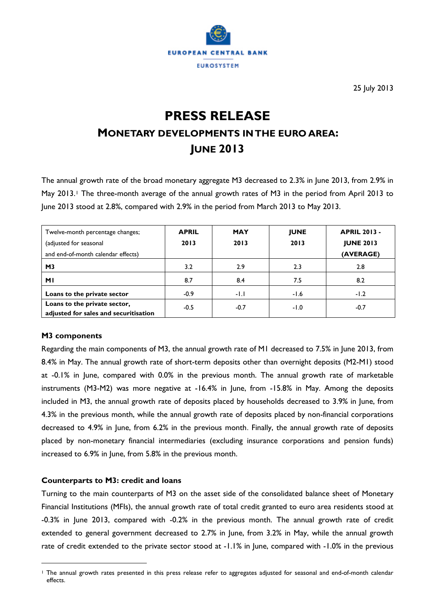

25 July 2013

# **PRESS RELEASE MONETARY DEVELOPMENTS IN THE EURO AREA: JUNE 2013**

The annual growth rate of the broad monetary aggregate M3 decreased to 2.3% in June 2013, from 2.9% in May 20[1](#page-0-0)3.<sup>1</sup> The three-month average of the annual growth rates of M3 in the period from April 2013 to June 2013 stood at 2.8%, compared with 2.9% in the period from March 2013 to May 2013.

| Twelve-month percentage changes;<br>(adjusted for seasonal<br>and end-of-month calendar effects) | <b>APRIL</b><br>2013 | <b>MAY</b><br>2013 | <b>JUNE</b><br>2013 | <b>APRIL 2013 -</b><br><b>JUNE 2013</b><br>(AVERAGE) |  |  |
|--------------------------------------------------------------------------------------------------|----------------------|--------------------|---------------------|------------------------------------------------------|--|--|
| M <sub>3</sub>                                                                                   | 3.2                  | 2.9                | 2.3                 | 2.8                                                  |  |  |
| МI                                                                                               | 8.7                  | 8.4                | 7.5                 | 8.2                                                  |  |  |
| Loans to the private sector                                                                      | $-0.9$               | $-1.1$             | $-1.6$              | $-1.2$                                               |  |  |
| Loans to the private sector,<br>adjusted for sales and securitisation                            | $-0.5$               | $-0.7$             | $-1.0$              | $-0.7$                                               |  |  |

# **M3 components**

 $\overline{a}$ 

Regarding the main components of M3, the annual growth rate of M1 decreased to 7.5% in June 2013, from 8.4% in May. The annual growth rate of short-term deposits other than overnight deposits (M2-M1) stood at -0.1% in June, compared with 0.0% in the previous month. The annual growth rate of marketable instruments (M3-M2) was more negative at -16.4% in June, from -15.8% in May. Among the deposits included in M3, the annual growth rate of deposits placed by households decreased to 3.9% in June, from 4.3% in the previous month, while the annual growth rate of deposits placed by non-financial corporations decreased to 4.9% in June, from 6.2% in the previous month. Finally, the annual growth rate of deposits placed by non-monetary financial intermediaries (excluding insurance corporations and pension funds) increased to 6.9% in June, from 5.8% in the previous month.

## **Counterparts to M3: credit and loans**

Turning to the main counterparts of M3 on the asset side of the consolidated balance sheet of Monetary Financial Institutions (MFIs), the annual growth rate of total credit granted to euro area residents stood at -0.3% in June 2013, compared with -0.2% in the previous month. The annual growth rate of credit extended to general government decreased to 2.7% in June, from 3.2% in May, while the annual growth rate of credit extended to the private sector stood at -1.1% in June, compared with -1.0% in the previous

<span id="page-0-0"></span><sup>1</sup> The annual growth rates presented in this press release refer to aggregates adjusted for seasonal and end-of-month calendar effects.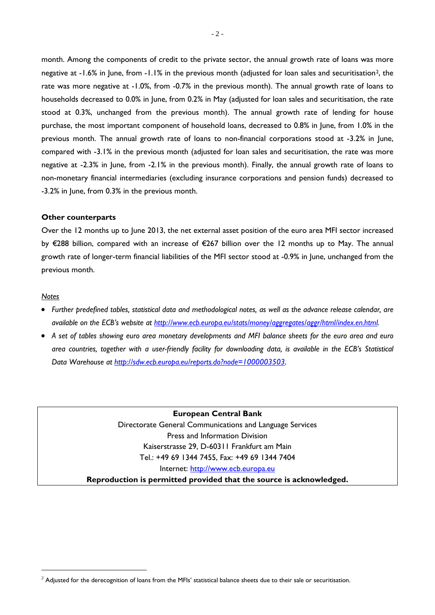month. Among the components of credit to the private sector, the annual growth rate of loans was more negative at -1.6% in June, from -1.1% in the previous month (adjusted for loan sales and securitisation<sup>[2](#page-1-0)</sup>, the rate was more negative at -1.0%, from -0.7% in the previous month). The annual growth rate of loans to households decreased to 0.0% in June, from 0.2% in May (adjusted for loan sales and securitisation, the rate stood at 0.3%, unchanged from the previous month). The annual growth rate of lending for house purchase, the most important component of household loans, decreased to 0.8% in June, from 1.0% in the previous month. The annual growth rate of loans to non-financial corporations stood at -3.2% in June, compared with -3.1% in the previous month (adjusted for loan sales and securitisation, the rate was more negative at -2.3% in June, from -2.1% in the previous month). Finally, the annual growth rate of loans to non-monetary financial intermediaries (excluding insurance corporations and pension funds) decreased to -3.2% in June, from 0.3% in the previous month.

#### **Other counterparts**

Over the 12 months up to June 2013, the net external asset position of the euro area MFI sector increased by €288 billion, compared with an increase of €267 billion over the 12 months up to May. The annual growth rate of longer-term financial liabilities of the MFI sector stood at -0.9% in June, unchanged from the previous month.

### *Notes*

- *Further predefined tables, statistical data and methodological notes, as well as the advance release calendar, are available on the ECB's website at [http://www.ecb.europa.eu/stats/money/aggregates/aggr/html/index.en.html.](http://www.ecb.europa.eu/stats/money/aggregates/aggr/html/index.en.html)*
- *A set of tables showing euro area monetary developments and MFI balance sheets for the euro area and euro area countries, together with a user-friendly facility for downloading data, is available in the ECB's Statistical Data Warehouse at <http://sdw.ecb.europa.eu/reports.do?node=1000003503>.*

**European Central Bank** Directorate General Communications and Language Services Press and Information Division Kaiserstrasse 29, D-60311 Frankfurt am Main Tel.: +49 69 1344 7455, Fax: +49 69 1344 7404 Internet: [http://www.ecb.europa.eu](http://www.ecb.europa.eu/)

**Reproduction is permitted provided that the source is acknowledged.**

<span id="page-1-0"></span> $2$  Adjusted for the derecognition of loans from the MFIs' statistical balance sheets due to their sale or securitisation.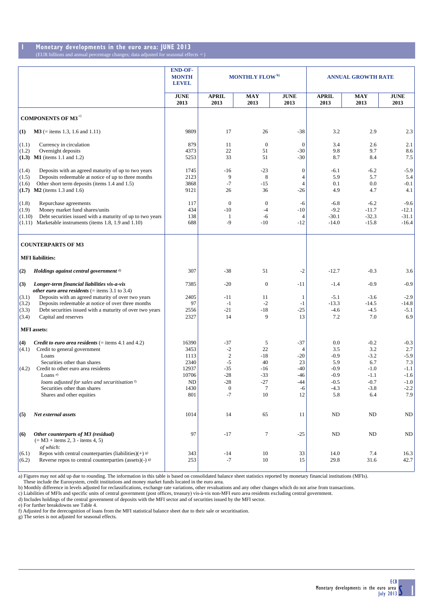#### **1 Monetary developments in the euro area: JUNE 2013** (EUR billions and annual percentage changes; data adjusted for seasonal effects)

|                                                                                                                                                                                                                                                                                                                                      | <b>END-OF-</b><br><b>MONTH</b><br><b>LEVEL</b>                              | <b>MONTHLY FLOW</b> <sup>b)</sup>                                                    |                                                              | <b>ANNUAL GROWTH RATE</b>                                               |                                                                            |                                                                               |                                                                               |
|--------------------------------------------------------------------------------------------------------------------------------------------------------------------------------------------------------------------------------------------------------------------------------------------------------------------------------------|-----------------------------------------------------------------------------|--------------------------------------------------------------------------------------|--------------------------------------------------------------|-------------------------------------------------------------------------|----------------------------------------------------------------------------|-------------------------------------------------------------------------------|-------------------------------------------------------------------------------|
|                                                                                                                                                                                                                                                                                                                                      | <b>JUNE</b><br>2013                                                         | <b>APRIL</b><br>2013                                                                 | MAY<br>2013                                                  | JUNE<br>2013                                                            | <b>APRIL</b><br>2013                                                       | MAY<br>2013                                                                   | <b>JUNE</b><br>2013                                                           |
| <b>COMPONENTS OF M3<sup>c)</sup></b>                                                                                                                                                                                                                                                                                                 |                                                                             |                                                                                      |                                                              |                                                                         |                                                                            |                                                                               |                                                                               |
| $M3$ (= items 1.3, 1.6 and 1.11)<br>$\bf(1)$                                                                                                                                                                                                                                                                                         | 9809                                                                        | 17                                                                                   | 26                                                           | $-38$                                                                   | 3.2                                                                        | 2.9                                                                           | 2.3                                                                           |
| (1.1)<br>Currency in circulation<br>Overnight deposits<br>(1.2)<br>$(1.3)$ M1 (items 1.1 and 1.2)                                                                                                                                                                                                                                    | 879<br>4373<br>5253                                                         | 11<br>22<br>33                                                                       | $\theta$<br>51<br>51                                         | $\overline{0}$<br>$-30$<br>$-30$                                        | 3.4<br>9.8<br>8.7                                                          | 2.6<br>9.7<br>8.4                                                             | 2.1<br>8.6<br>7.5                                                             |
| (1.4)<br>Deposits with an agreed maturity of up to two years<br>Deposits redeemable at notice of up to three months<br>(1.5)<br>Other short term deposits (items 1.4 and 1.5)<br>(1.6)<br>$(1.7)$ M2 (items 1.3 and 1.6)                                                                                                             | 1745<br>2123<br>3868<br>9121                                                | -16<br>9<br>$-7$<br>26                                                               | $-23$<br>8<br>$-15$<br>36                                    | $\mathbf{0}$<br>$\overline{4}$<br>$\overline{4}$<br>$-26$               | $-6.1$<br>5.9<br>0.1<br>4.9                                                | $-6.2$<br>5.7<br>0.0<br>4.7                                                   | $-5.9$<br>5.4<br>$-0.1$<br>4.1                                                |
| (1.8)<br>Repurchase agreements<br>(1.9)<br>Money market fund shares/units<br>Debt securities issued with a maturity of up to two years<br>(1.10)<br>$(1.11)$ Marketable instruments (items 1.8, 1.9 and 1.10)                                                                                                                        | 117<br>434<br>138<br>688                                                    | $\mathbf{0}$<br>-10<br>$\mathbf{1}$<br>-9                                            | $\theta$<br>$-4$<br>-6<br>$-10$                              | -6<br>$-10$<br>$\overline{4}$<br>$-12$                                  | $-6.8$<br>$-9.2$<br>$-30.1$<br>$-14.0$                                     | $-6.2$<br>$-11.7$<br>$-32.3$<br>$-15.8$                                       | $-9.6$<br>$-12.1$<br>$-31.1$<br>$-16.4$                                       |
| <b>COUNTERPARTS OF M3</b>                                                                                                                                                                                                                                                                                                            |                                                                             |                                                                                      |                                                              |                                                                         |                                                                            |                                                                               |                                                                               |
| <b>MFI</b> liabilities:                                                                                                                                                                                                                                                                                                              |                                                                             |                                                                                      |                                                              |                                                                         |                                                                            |                                                                               |                                                                               |
| (2)<br>Holdings against central government d)                                                                                                                                                                                                                                                                                        | 307                                                                         | $-38$                                                                                | 51                                                           | $-2$                                                                    | $-12.7$                                                                    | $-0.3$                                                                        | 3.6                                                                           |
| (3)<br>Longer-term financial liabilities vis-a-vis<br><i>other euro area residents</i> ( $=$ items 3.1 to 3.4)                                                                                                                                                                                                                       | 7385                                                                        | $-20$                                                                                | $\boldsymbol{0}$                                             | $-11$                                                                   | $-1.4$                                                                     | $-0.9$                                                                        | $-0.9$                                                                        |
| Deposits with an agreed maturity of over two years<br>(3.1)<br>Deposits redeemable at notice of over three months<br>(3.2)<br>Debt securities issued with a maturity of over two years<br>(3.3)<br>(3.4)<br>Capital and reserves                                                                                                     | 2405<br>97<br>2556<br>2327                                                  | $-11$<br>$-1$<br>$-21$<br>14                                                         | 11<br>$-2$<br>$-18$<br>9                                     | -1<br>$-1$<br>$-25$<br>13                                               | $-5.1$<br>$-13.3$<br>$-4.6$<br>7.2                                         | $-3.6$<br>$-14.5$<br>$-4.5$<br>7.0                                            | $-2.9$<br>$-14.8$<br>$-5.1$<br>6.9                                            |
| <b>MFI</b> assets:                                                                                                                                                                                                                                                                                                                   |                                                                             |                                                                                      |                                                              |                                                                         |                                                                            |                                                                               |                                                                               |
| <i>Credit to euro area residents</i> $($ = items 4.1 and 4.2)<br>(4)<br>(4.1)<br>Credit to general government<br>Loans<br>Securities other than shares<br>Credit to other euro area residents<br>(4.2)<br>Loans $e$ )<br>loans adjusted for sales and securitisation f)<br>Securities other than shares<br>Shares and other equities | 16390<br>3453<br>1113<br>2340<br>12937<br>10706<br><b>ND</b><br>1430<br>801 | $-37$<br>$-2$<br>$\overline{c}$<br>$-5$<br>$-35$<br>$-28$<br>$-28$<br>$\Omega$<br>-7 | 5<br>22<br>$-18$<br>40<br>$-16$<br>$-33$<br>$-27$<br>7<br>10 | $-37$<br>$\overline{4}$<br>$-20$<br>23<br>-40<br>-46<br>-44<br>-6<br>12 | 0.0<br>3.5<br>$-0.9$<br>5.9<br>$-0.9$<br>$-0.9$<br>$-0.5$<br>$-4.3$<br>5.8 | $-0.2$<br>3.2<br>$-3.2$<br>6.7<br>$-1.0$<br>$-1.1$<br>$-0.7$<br>$-3.8$<br>6.4 | $-0.3$<br>2.7<br>$-5.9$<br>7.3<br>$-1.1$<br>$-1.6$<br>$-1.0$<br>$-2.2$<br>7.9 |
| (5)<br>Net external assets                                                                                                                                                                                                                                                                                                           | 1014                                                                        | 14                                                                                   | 65                                                           | 11                                                                      | <b>ND</b>                                                                  | ND                                                                            | ND                                                                            |
| Other counterparts of M3 (residual)<br>(6)<br>$(= M3 + items 2, 3 - items 4, 5)$<br>of which:                                                                                                                                                                                                                                        | 97                                                                          | $-17$                                                                                | 7                                                            | $-25$                                                                   | ND                                                                         | ND                                                                            | ND                                                                            |
| Repos with central counterparties (liabilities) $(+)$ s)<br>(6.1)<br>Reverse repos to central counterparties (assets)(-) $\beta$ )<br>(6.2)                                                                                                                                                                                          | 343<br>253                                                                  | $-14$<br>$^{\rm -7}$                                                                 | 10<br>$10\,$                                                 | 33<br>15                                                                | 14.0<br>29.8                                                               | 7.4<br>31.6                                                                   | 16.3<br>42.7                                                                  |

a) Figures may not add up due to rounding. The information in this table is based on consolidated balance sheet statistics reported by monetary financial institutions (MFIs).<br>These include the Eurosystem, credit institutio

c) Liabilities of MFIs and specific units of central government (post offices, treasury) vis-à-vis non-MFI euro area residents excluding central government.

d) Includes holdings of the central government of deposits with the MFI sector and of securities issued by the MFI sector.<br>e) For further breakdowns see Table 4.<br>f) Adjusted for the derecognition of loans from the MFI stat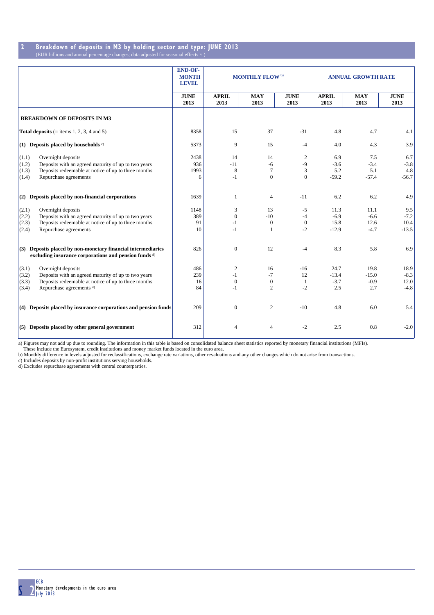# **2 Breakdown of deposits in M3 by holding sector and type: JUNE 2013**

| (EUR billions and annual percentage changes; data adjusted for seasonal effects <sup>a)</sup> |  |  |
|-----------------------------------------------------------------------------------------------|--|--|

|                                                                                                                         | <b>END-OF-</b><br><b>MONTH</b><br><b>LEVEL</b> | <b>MONTHLY FLOW</b> <sup>b)</sup> |                    | <b>ANNUAL GROWTH RATE</b> |                      |                    |                     |
|-------------------------------------------------------------------------------------------------------------------------|------------------------------------------------|-----------------------------------|--------------------|---------------------------|----------------------|--------------------|---------------------|
|                                                                                                                         | <b>JUNE</b><br>2013                            | <b>APRIL</b><br>2013              | <b>MAY</b><br>2013 | <b>JUNE</b><br>2013       | <b>APRIL</b><br>2013 | <b>MAY</b><br>2013 | <b>JUNE</b><br>2013 |
| <b>BREAKDOWN OF DEPOSITS IN M3</b>                                                                                      |                                                |                                   |                    |                           |                      |                    |                     |
| <b>Total deposits</b> (= items 1, 2, 3, 4 and 5)                                                                        | 8358                                           | 15                                | 37                 | $-31$                     | 4.8                  | 4.7                | 4.1                 |
| (1) Deposits placed by households $\circ$ )                                                                             | 5373                                           | 9                                 | 15                 | -4                        | 4.0                  | 4.3                | 3.9                 |
| (1.1)<br>Overnight deposits                                                                                             | 2438                                           | 14                                | 14                 | $\sqrt{2}$                | 6.9                  | 7.5                | 6.7                 |
| Deposits with an agreed maturity of up to two years<br>(1.2)                                                            | 936                                            | $-11$                             | $-6$               | -9                        | $-3.6$               | $-3.4$             | $-3.8$              |
| Deposits redeemable at notice of up to three months<br>(1.3)                                                            | 1993                                           | 8                                 | $\overline{7}$     | 3                         | 5.2                  | 5.1                | 4.8                 |
| Repurchase agreements<br>(1.4)                                                                                          | 6                                              | $-1$                              | $\Omega$           | $\theta$                  | $-59.2$              | $-57.4$            | $-56.7$             |
| $(2)$ Deposits placed by non-financial corporations                                                                     | 1639                                           | 1                                 | $\overline{4}$     | $-11$                     | 6.2                  | 6.2                | 4.9                 |
| Overnight deposits<br>(2.1)                                                                                             | 1148                                           | 3                                 | 13                 | $-5$                      | 11.3                 | 11.1               | 9.5                 |
| Deposits with an agreed maturity of up to two years<br>(2.2)                                                            | 389                                            | $\Omega$                          | $-10$              | $-4$                      | $-6.9$               | $-6.6$             | $-7.2$              |
| Deposits redeemable at notice of up to three months<br>(2.3)                                                            | 91                                             | $-1$                              | $\mathbf{0}$       | $\mathbf{0}$              | 15.8                 | 12.6               | 10.4                |
| (2.4)<br>Repurchase agreements                                                                                          | 10                                             | $-1$                              | $\overline{1}$     | $-2$                      | $-12.9$              | $-4.7$             | $-13.5$             |
| $(3)$ Deposits placed by non-monetary financial intermediaries<br>excluding insurance corporations and pension funds d) | 826                                            | $\mathbf{0}$                      | 12                 | -4                        | 8.3                  | 5.8                | 6.9                 |
| Overnight deposits<br>(3.1)                                                                                             | 486                                            | $\mathfrak{2}$                    | 16                 | $-16$                     | 24.7                 | 19.8               | 18.9                |
| Deposits with an agreed maturity of up to two years<br>(3.2)                                                            | 239                                            | $-1$                              | $-7$               | 12                        | $-13.4$              | $-15.0$            | $-8.3$              |
| Deposits redeemable at notice of up to three months<br>(3.3)                                                            | 16                                             | $\mathbf{0}$                      | $\mathbf{0}$       | 1                         | $-3.7$               | $-0.9$             | 12.0                |
| Repurchase agreements d)<br>(3.4)                                                                                       | 84                                             | $-1$                              | $\overline{2}$     | $-2$                      | 2.5                  | 2.7                | $-4.8$              |
| $(4)$ Deposits placed by insurance corporations and pension funds                                                       | 209                                            | $\mathbf{0}$                      | 2                  | $-10$                     | 4.8                  | 6.0                | 5.4                 |
| $(5)$ Deposits placed by other general government                                                                       | 312                                            | 4                                 | $\overline{4}$     | $-2$                      | 2.5                  | 0.8                | $-2.0$              |

a) Figures may not add up due to rounding. The information in this table is based on consolidated balance sheet statistics reported by monetary financial institutions (MFIs).<br>These include the Eurosystem, credit institutio

b) Monthly difference in levels adjusted for reclassifications, exchange rate variations, other revaluations and any other changes which do not arise from transactions.

c) Includes deposits by non-profit institutions serving households.

d) Excludes repurchase agreements with central counterparties.